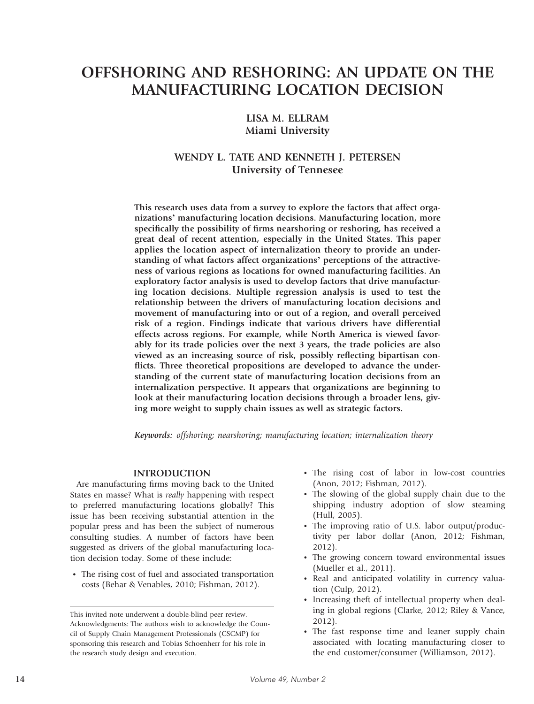# OFFSHORING AND RESHORING: AN UPDATE ON THE MANUFACTURING LOCATION DECISION

LISA M. ELLRAM Miami University

# WENDY L. TATE AND KENNETH J. PETERSEN University of Tennesee

This research uses data from a survey to explore the factors that affect organizations' manufacturing location decisions. Manufacturing location, more specifically the possibility of firms nearshoring or reshoring, has received a great deal of recent attention, especially in the United States. This paper applies the location aspect of internalization theory to provide an understanding of what factors affect organizations' perceptions of the attractiveness of various regions as locations for owned manufacturing facilities. An exploratory factor analysis is used to develop factors that drive manufacturing location decisions. Multiple regression analysis is used to test the relationship between the drivers of manufacturing location decisions and movement of manufacturing into or out of a region, and overall perceived risk of a region. Findings indicate that various drivers have differential effects across regions. For example, while North America is viewed favorably for its trade policies over the next 3 years, the trade policies are also viewed as an increasing source of risk, possibly reflecting bipartisan conflicts. Three theoretical propositions are developed to advance the understanding of the current state of manufacturing location decisions from an internalization perspective. It appears that organizations are beginning to look at their manufacturing location decisions through a broader lens, giving more weight to supply chain issues as well as strategic factors.

Keywords: offshoring; nearshoring; manufacturing location; internalization theory

#### INTRODUCTION

Are manufacturing firms moving back to the United States en masse? What is really happening with respect to preferred manufacturing locations globally? This issue has been receiving substantial attention in the popular press and has been the subject of numerous consulting studies. A number of factors have been suggested as drivers of the global manufacturing location decision today. Some of these include:

• The rising cost of fuel and associated transportation costs (Behar & Venables, 2010; Fishman, 2012).

- The rising cost of labor in low-cost countries (Anon, 2012; Fishman, 2012).
- The slowing of the global supply chain due to the shipping industry adoption of slow steaming (Hull, 2005).
- The improving ratio of U.S. labor output/productivity per labor dollar (Anon, 2012; Fishman, 2012).
- The growing concern toward environmental issues (Mueller et al., 2011).
- Real and anticipated volatility in currency valuation (Culp, 2012).
- Increasing theft of intellectual property when dealing in global regions (Clarke, 2012; Riley & Vance, 2012).
- The fast response time and leaner supply chain associated with locating manufacturing closer to the end customer/consumer (Williamson, 2012).

This invited note underwent a double-blind peer review. Acknowledgments: The authors wish to acknowledge the Council of Supply Chain Management Professionals (CSCMP) for sponsoring this research and Tobias Schoenherr for his role in the research study design and execution.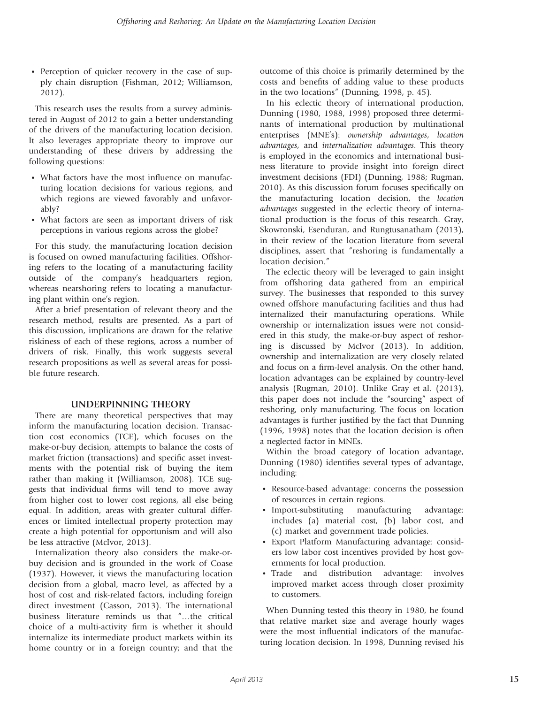• Perception of quicker recovery in the case of supply chain disruption (Fishman, 2012; Williamson, 2012).

This research uses the results from a survey administered in August of 2012 to gain a better understanding of the drivers of the manufacturing location decision. It also leverages appropriate theory to improve our understanding of these drivers by addressing the following questions:

- What factors have the most influence on manufacturing location decisions for various regions, and which regions are viewed favorably and unfavorably?
- What factors are seen as important drivers of risk perceptions in various regions across the globe?

For this study, the manufacturing location decision is focused on owned manufacturing facilities. Offshoring refers to the locating of a manufacturing facility outside of the company's headquarters region, whereas nearshoring refers to locating a manufacturing plant within one's region.

After a brief presentation of relevant theory and the research method, results are presented. As a part of this discussion, implications are drawn for the relative riskiness of each of these regions, across a number of drivers of risk. Finally, this work suggests several research propositions as well as several areas for possible future research.

#### UNDERPINNING THEORY

There are many theoretical perspectives that may inform the manufacturing location decision. Transaction cost economics (TCE), which focuses on the make-or-buy decision, attempts to balance the costs of market friction (transactions) and specific asset investments with the potential risk of buying the item rather than making it (Williamson, 2008). TCE suggests that individual firms will tend to move away from higher cost to lower cost regions, all else being equal. In addition, areas with greater cultural differences or limited intellectual property protection may create a high potential for opportunism and will also be less attractive (McIvor, 2013).

Internalization theory also considers the make-orbuy decision and is grounded in the work of Coase (1937). However, it views the manufacturing location decision from a global, macro level, as affected by a host of cost and risk-related factors, including foreign direct investment (Casson, 2013). The international business literature reminds us that "…the critical choice of a multi-activity firm is whether it should internalize its intermediate product markets within its home country or in a foreign country; and that the outcome of this choice is primarily determined by the costs and benefits of adding value to these products in the two locations" (Dunning, 1998, p. 45).

In his eclectic theory of international production, Dunning (1980, 1988, 1998) proposed three determinants of international production by multinational enterprises (MNE's): ownership advantages, location advantages, and internalization advantages. This theory is employed in the economics and international business literature to provide insight into foreign direct investment decisions (FDI) (Dunning, 1988; Rugman, 2010). As this discussion forum focuses specifically on the manufacturing location decision, the location advantages suggested in the eclectic theory of international production is the focus of this research. Gray, Skowronski, Esenduran, and Rungtusanatham (2013), in their review of the location literature from several disciplines, assert that "reshoring is fundamentally a location decision."

The eclectic theory will be leveraged to gain insight from offshoring data gathered from an empirical survey. The businesses that responded to this survey owned offshore manufacturing facilities and thus had internalized their manufacturing operations. While ownership or internalization issues were not considered in this study, the make-or-buy aspect of reshoring is discussed by McIvor (2013). In addition, ownership and internalization are very closely related and focus on a firm-level analysis. On the other hand, location advantages can be explained by country-level analysis (Rugman, 2010). Unlike Gray et al. (2013), this paper does not include the "sourcing" aspect of reshoring, only manufacturing. The focus on location advantages is further justified by the fact that Dunning (1996, 1998) notes that the location decision is often a neglected factor in MNEs.

Within the broad category of location advantage, Dunning (1980) identifies several types of advantage, including:

- Resource-based advantage: concerns the possession of resources in certain regions.
- Import-substituting manufacturing advantage: includes (a) material cost, (b) labor cost, and (c) market and government trade policies.
- Export Platform Manufacturing advantage: considers low labor cost incentives provided by host governments for local production.
- Trade and distribution advantage: involves improved market access through closer proximity to customers.

When Dunning tested this theory in 1980, he found that relative market size and average hourly wages were the most influential indicators of the manufacturing location decision. In 1998, Dunning revised his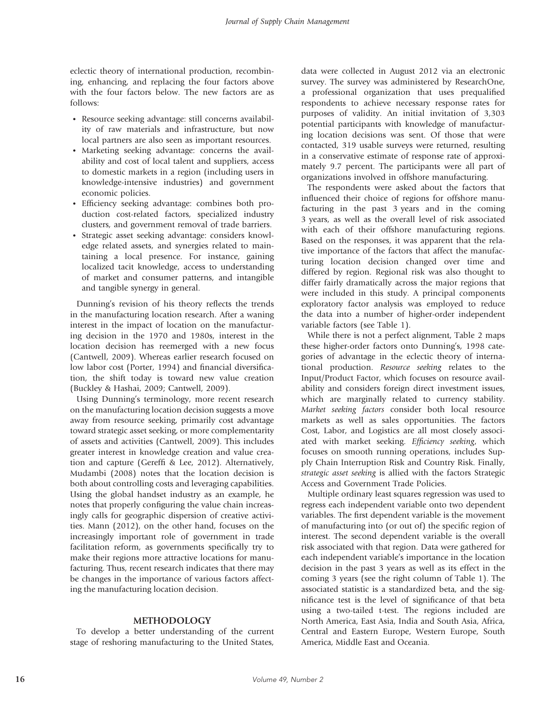eclectic theory of international production, recombining, enhancing, and replacing the four factors above with the four factors below. The new factors are as follows:

- Resource seeking advantage: still concerns availability of raw materials and infrastructure, but now local partners are also seen as important resources.
- Marketing seeking advantage: concerns the availability and cost of local talent and suppliers, access to domestic markets in a region (including users in knowledge-intensive industries) and government economic policies.
- Efficiency seeking advantage: combines both production cost-related factors, specialized industry clusters, and government removal of trade barriers.
- Strategic asset seeking advantage: considers knowledge related assets, and synergies related to maintaining a local presence. For instance, gaining localized tacit knowledge, access to understanding of market and consumer patterns, and intangible and tangible synergy in general.

Dunning's revision of his theory reflects the trends in the manufacturing location research. After a waning interest in the impact of location on the manufacturing decision in the 1970 and 1980s, interest in the location decision has reemerged with a new focus (Cantwell, 2009). Whereas earlier research focused on low labor cost (Porter, 1994) and financial diversification, the shift today is toward new value creation (Buckley & Hashai, 2009; Cantwell, 2009).

Using Dunning's terminology, more recent research on the manufacturing location decision suggests a move away from resource seeking, primarily cost advantage toward strategic asset seeking, or more complementarity of assets and activities (Cantwell, 2009). This includes greater interest in knowledge creation and value creation and capture (Gereffi & Lee, 2012). Alternatively, Mudambi (2008) notes that the location decision is both about controlling costs and leveraging capabilities. Using the global handset industry as an example, he notes that properly configuring the value chain increasingly calls for geographic dispersion of creative activities. Mann (2012), on the other hand, focuses on the increasingly important role of government in trade facilitation reform, as governments specifically try to make their regions more attractive locations for manufacturing. Thus, recent research indicates that there may be changes in the importance of various factors affecting the manufacturing location decision.

## METHODOLOGY

To develop a better understanding of the current stage of reshoring manufacturing to the United States,

data were collected in August 2012 via an electronic survey. The survey was administered by ResearchOne, a professional organization that uses prequalified respondents to achieve necessary response rates for purposes of validity. An initial invitation of 3,303 potential participants with knowledge of manufacturing location decisions was sent. Of those that were contacted, 319 usable surveys were returned, resulting in a conservative estimate of response rate of approximately 9.7 percent. The participants were all part of organizations involved in offshore manufacturing.

The respondents were asked about the factors that influenced their choice of regions for offshore manufacturing in the past 3 years and in the coming 3 years, as well as the overall level of risk associated with each of their offshore manufacturing regions. Based on the responses, it was apparent that the relative importance of the factors that affect the manufacturing location decision changed over time and differed by region. Regional risk was also thought to differ fairly dramatically across the major regions that were included in this study. A principal components exploratory factor analysis was employed to reduce the data into a number of higher-order independent variable factors (see Table 1).

While there is not a perfect alignment, Table 2 maps these higher-order factors onto Dunning's, 1998 categories of advantage in the eclectic theory of international production. Resource seeking relates to the Input/Product Factor, which focuses on resource availability and considers foreign direct investment issues, which are marginally related to currency stability. Market seeking factors consider both local resource markets as well as sales opportunities. The factors Cost, Labor, and Logistics are all most closely associated with market seeking. Efficiency seeking, which focuses on smooth running operations, includes Supply Chain Interruption Risk and Country Risk. Finally, strategic asset seeking is allied with the factors Strategic Access and Government Trade Policies.

Multiple ordinary least squares regression was used to regress each independent variable onto two dependent variables. The first dependent variable is the movement of manufacturing into (or out of) the specific region of interest. The second dependent variable is the overall risk associated with that region. Data were gathered for each independent variable's importance in the location decision in the past 3 years as well as its effect in the coming 3 years (see the right column of Table 1). The associated statistic is a standardized beta, and the significance test is the level of significance of that beta using a two-tailed t-test. The regions included are North America, East Asia, India and South Asia, Africa, Central and Eastern Europe, Western Europe, South America, Middle East and Oceania.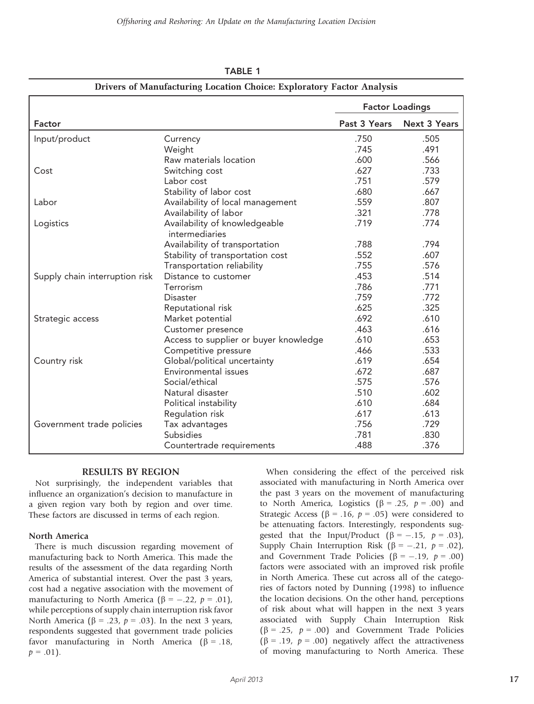| Drivers of Manufacturing Location Choice: Exploratory Factor Analysis |                                                 |                        |                     |
|-----------------------------------------------------------------------|-------------------------------------------------|------------------------|---------------------|
|                                                                       |                                                 | <b>Factor Loadings</b> |                     |
| Factor                                                                |                                                 | Past 3 Years           | <b>Next 3 Years</b> |
| Input/product                                                         | Currency                                        | .750                   | .505                |
|                                                                       | Weight                                          | .745                   | .491                |
|                                                                       | Raw materials location                          | .600                   | .566                |
| Cost                                                                  | Switching cost                                  | .627                   | .733                |
|                                                                       | Labor cost                                      | .751                   | .579                |
|                                                                       | Stability of labor cost                         | .680                   | .667                |
| Labor                                                                 | Availability of local management                | .559                   | .807                |
|                                                                       | Availability of labor                           | .321                   | .778                |
| Logistics                                                             | Availability of knowledgeable<br>intermediaries | .719                   | .774                |
|                                                                       | Availability of transportation                  | .788                   | .794                |
|                                                                       | Stability of transportation cost                | .552                   | .607                |
|                                                                       | Transportation reliability                      | .755                   | .576                |
| Supply chain interruption risk                                        | Distance to customer                            | .453                   | .514                |
|                                                                       | Terrorism                                       | .786                   | .771                |
|                                                                       | <b>Disaster</b>                                 | .759                   | .772                |
|                                                                       | Reputational risk                               | .625                   | .325                |
| Strategic access                                                      | Market potential                                | .692                   | .610                |
|                                                                       | Customer presence                               | .463                   | .616                |
|                                                                       | Access to supplier or buyer knowledge           | .610                   | .653                |
|                                                                       | Competitive pressure                            | .466                   | .533                |
| Country risk                                                          | Global/political uncertainty                    | .619                   | .654                |
|                                                                       | Environmental issues                            | .672                   | .687                |
|                                                                       | Social/ethical                                  | .575                   | .576                |
|                                                                       | Natural disaster                                | .510                   | .602                |
|                                                                       | Political instability                           | .610                   | .684                |
|                                                                       | Regulation risk                                 | .617                   | .613                |
| Government trade policies                                             | Tax advantages                                  | .756                   | .729                |
|                                                                       | Subsidies                                       | .781                   | .830                |
|                                                                       | Countertrade requirements                       | .488                   | .376                |

TABLE 1

# RESULTS BY REGION

Not surprisingly, the independent variables that influence an organization's decision to manufacture in a given region vary both by region and over time. These factors are discussed in terms of each region.

## North America

There is much discussion regarding movement of manufacturing back to North America. This made the results of the assessment of the data regarding North America of substantial interest. Over the past 3 years, cost had a negative association with the movement of manufacturing to North America ( $\beta$  = -.22,  $p$  = .01), while perceptions of supply chain interruption risk favor North America ( $\beta$  = .23,  $p$  = .03). In the next 3 years, respondents suggested that government trade policies favor manufacturing in North America ( $\beta$  = .18,  $p = .01$ ).

When considering the effect of the perceived risk associated with manufacturing in North America over the past 3 years on the movement of manufacturing to North America, Logistics ( $\beta$  = .25,  $p$  = .00) and Strategic Access ( $\beta$  = .16,  $p$  = .05) were considered to be attenuating factors. Interestingly, respondents suggested that the Input/Product  $(\beta = -.15, p = .03)$ , Supply Chain Interruption Risk ( $\beta = -.21$ ,  $p = .02$ ), and Government Trade Policies ( $\beta = -.19$ ,  $p = .00$ ) factors were associated with an improved risk profile in North America. These cut across all of the categories of factors noted by Dunning (1998) to influence the location decisions. On the other hand, perceptions of risk about what will happen in the next 3 years associated with Supply Chain Interruption Risk  $(\beta = .25, p = .00)$  and Government Trade Policies ( $\beta$  = .19,  $p$  = .00) negatively affect the attractiveness of moving manufacturing to North America. These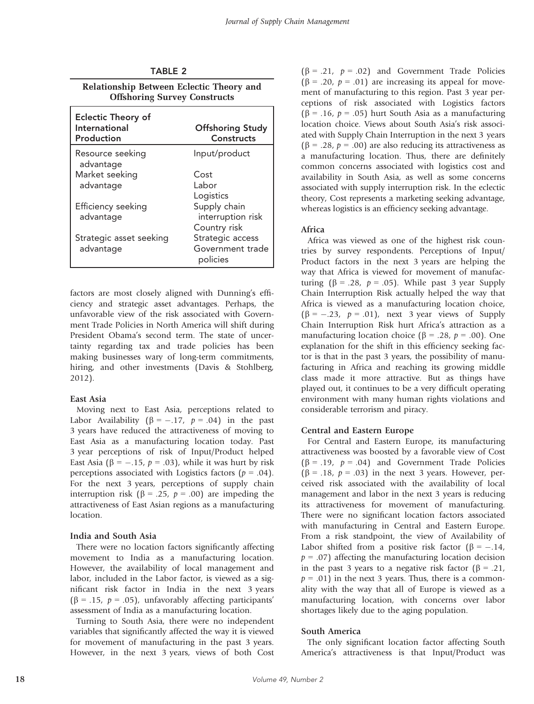# TABLE 2

## Relationship Between Eclectic Theory and Offshoring Survey Constructs

| <b>Eclectic Theory of</b><br>International<br>Production | <b>Offshoring Study</b><br>Constructs |
|----------------------------------------------------------|---------------------------------------|
| Resource seeking<br>advantage                            | Input/product                         |
| Market seeking                                           | Cost                                  |
| advantage                                                | Labor                                 |
|                                                          | Logistics                             |
| Efficiency seeking                                       | Supply chain                          |
| advantage                                                | interruption risk                     |
|                                                          | Country risk                          |
| Strategic asset seeking                                  | Strategic access                      |
| advantage                                                | Government trade                      |
|                                                          | policies                              |

factors are most closely aligned with Dunning's efficiency and strategic asset advantages. Perhaps, the unfavorable view of the risk associated with Government Trade Policies in North America will shift during President Obama's second term. The state of uncertainty regarding tax and trade policies has been making businesses wary of long-term commitments, hiring, and other investments (Davis & Stohlberg, 2012).

#### East Asia

Moving next to East Asia, perceptions related to Labor Availability ( $\beta = -.17$ ,  $p = .04$ ) in the past 3 years have reduced the attractiveness of moving to East Asia as a manufacturing location today. Past 3 year perceptions of risk of Input/Product helped East Asia ( $\beta$  = -.15,  $p$  = .03), while it was hurt by risk perceptions associated with Logistics factors ( $p = .04$ ). For the next 3 years, perceptions of supply chain interruption risk ( $\beta$  = .25,  $p$  = .00) are impeding the attractiveness of East Asian regions as a manufacturing location.

#### India and South Asia

There were no location factors significantly affecting movement to India as a manufacturing location. However, the availability of local management and labor, included in the Labor factor, is viewed as a significant risk factor in India in the next 3 years ( $\beta$  = .15,  $p$  = .05), unfavorably affecting participants' assessment of India as a manufacturing location.

Turning to South Asia, there were no independent variables that significantly affected the way it is viewed for movement of manufacturing in the past 3 years. However, in the next 3 years, views of both Cost  $(\beta = .21, p = .02)$  and Government Trade Policies  $(\beta = .20, p = .01)$  are increasing its appeal for movement of manufacturing to this region. Past 3 year perceptions of risk associated with Logistics factors ( $\beta$  = .16,  $p$  = .05) hurt South Asia as a manufacturing location choice. Views about South Asia's risk associated with Supply Chain Interruption in the next 3 years  $(\beta = .28, p = .00)$  are also reducing its attractiveness as a manufacturing location. Thus, there are definitely common concerns associated with logistics cost and availability in South Asia, as well as some concerns associated with supply interruption risk. In the eclectic theory, Cost represents a marketing seeking advantage, whereas logistics is an efficiency seeking advantage.

#### Africa

Africa was viewed as one of the highest risk countries by survey respondents. Perceptions of Input/ Product factors in the next 3 years are helping the way that Africa is viewed for movement of manufacturing ( $\beta = .28$ ,  $p = .05$ ). While past 3 year Supply Chain Interruption Risk actually helped the way that Africa is viewed as a manufacturing location choice,  $(\beta = -.23, p = .01)$ , next 3 year views of Supply Chain Interruption Risk hurt Africa's attraction as a manufacturing location choice ( $\beta$  = .28,  $p$  = .00). One explanation for the shift in this efficiency seeking factor is that in the past 3 years, the possibility of manufacturing in Africa and reaching its growing middle class made it more attractive. But as things have played out, it continues to be a very difficult operating environment with many human rights violations and considerable terrorism and piracy.

#### Central and Eastern Europe

For Central and Eastern Europe, its manufacturing attractiveness was boosted by a favorable view of Cost  $(\beta = .19, p = .04)$  and Government Trade Policies ( $\beta$  = .18,  $p$  = .03) in the next 3 years. However, perceived risk associated with the availability of local management and labor in the next 3 years is reducing its attractiveness for movement of manufacturing. There were no significant location factors associated with manufacturing in Central and Eastern Europe. From a risk standpoint, the view of Availability of Labor shifted from a positive risk factor  $(\beta = -.14, )$  $p = .07$ ) affecting the manufacturing location decision in the past 3 years to a negative risk factor ( $\beta = .21$ ,  $p = .01$ ) in the next 3 years. Thus, there is a commonality with the way that all of Europe is viewed as a manufacturing location, with concerns over labor shortages likely due to the aging population.

#### South America

The only significant location factor affecting South America's attractiveness is that Input/Product was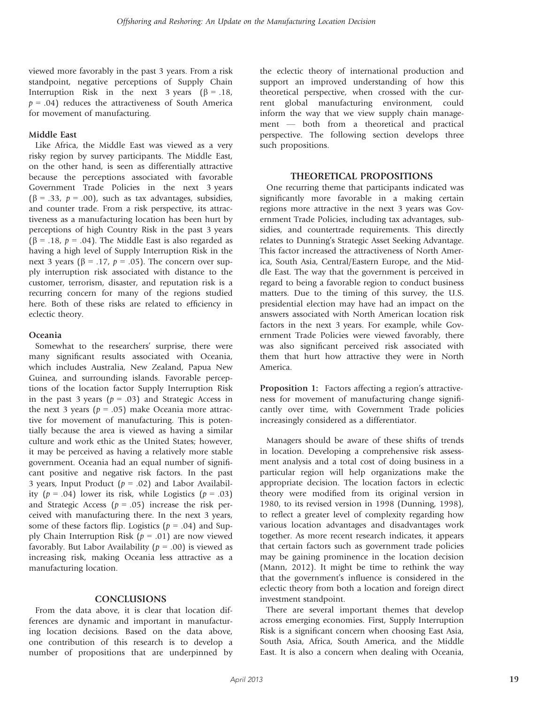viewed more favorably in the past 3 years. From a risk standpoint, negative perceptions of Supply Chain Interruption Risk in the next 3 years  $(\beta = .18, )$  $p = .04$ ) reduces the attractiveness of South America for movement of manufacturing.

#### Middle East

Like Africa, the Middle East was viewed as a very risky region by survey participants. The Middle East, on the other hand, is seen as differentially attractive because the perceptions associated with favorable Government Trade Policies in the next 3 years  $(\beta = .33, p = .00)$ , such as tax advantages, subsidies, and counter trade. From a risk perspective, its attractiveness as a manufacturing location has been hurt by perceptions of high Country Risk in the past 3 years ( $\beta$  = .18,  $p$  = .04). The Middle East is also regarded as having a high level of Supply Interruption Risk in the next 3 years ( $\beta$  = .17,  $p$  = .05). The concern over supply interruption risk associated with distance to the customer, terrorism, disaster, and reputation risk is a recurring concern for many of the regions studied here. Both of these risks are related to efficiency in eclectic theory.

#### Oceania

Somewhat to the researchers' surprise, there were many significant results associated with Oceania, which includes Australia, New Zealand, Papua New Guinea, and surrounding islands. Favorable perceptions of the location factor Supply Interruption Risk in the past 3 years ( $p = .03$ ) and Strategic Access in the next 3 years ( $p = .05$ ) make Oceania more attractive for movement of manufacturing. This is potentially because the area is viewed as having a similar culture and work ethic as the United States; however, it may be perceived as having a relatively more stable government. Oceania had an equal number of significant positive and negative risk factors. In the past 3 years, Input Product ( $p = .02$ ) and Labor Availability ( $p = .04$ ) lower its risk, while Logistics ( $p = .03$ ) and Strategic Access ( $p = .05$ ) increase the risk perceived with manufacturing there. In the next 3 years, some of these factors flip. Logistics ( $p = .04$ ) and Supply Chain Interruption Risk ( $p = .01$ ) are now viewed favorably. But Labor Availability ( $p = .00$ ) is viewed as increasing risk, making Oceania less attractive as a manufacturing location.

#### **CONCLUSIONS**

From the data above, it is clear that location differences are dynamic and important in manufacturing location decisions. Based on the data above, one contribution of this research is to develop a number of propositions that are underpinned by

the eclectic theory of international production and support an improved understanding of how this theoretical perspective, when crossed with the current global manufacturing environment, could inform the way that we view supply chain management — both from a theoretical and practical perspective. The following section develops three such propositions.

#### THEORETICAL PROPOSITIONS

One recurring theme that participants indicated was significantly more favorable in a making certain regions more attractive in the next 3 years was Government Trade Policies, including tax advantages, subsidies, and countertrade requirements. This directly relates to Dunning's Strategic Asset Seeking Advantage. This factor increased the attractiveness of North America, South Asia, Central/Eastern Europe, and the Middle East. The way that the government is perceived in regard to being a favorable region to conduct business matters. Due to the timing of this survey, the U.S. presidential election may have had an impact on the answers associated with North American location risk factors in the next 3 years. For example, while Government Trade Policies were viewed favorably, there was also significant perceived risk associated with them that hurt how attractive they were in North America.

Proposition 1: Factors affecting a region's attractiveness for movement of manufacturing change significantly over time, with Government Trade policies increasingly considered as a differentiator.

Managers should be aware of these shifts of trends in location. Developing a comprehensive risk assessment analysis and a total cost of doing business in a particular region will help organizations make the appropriate decision. The location factors in eclectic theory were modified from its original version in 1980, to its revised version in 1998 (Dunning, 1998), to reflect a greater level of complexity regarding how various location advantages and disadvantages work together. As more recent research indicates, it appears that certain factors such as government trade policies may be gaining prominence in the location decision (Mann, 2012). It might be time to rethink the way that the government's influence is considered in the eclectic theory from both a location and foreign direct investment standpoint.

There are several important themes that develop across emerging economies. First, Supply Interruption Risk is a significant concern when choosing East Asia, South Asia, Africa, South America, and the Middle East. It is also a concern when dealing with Oceania,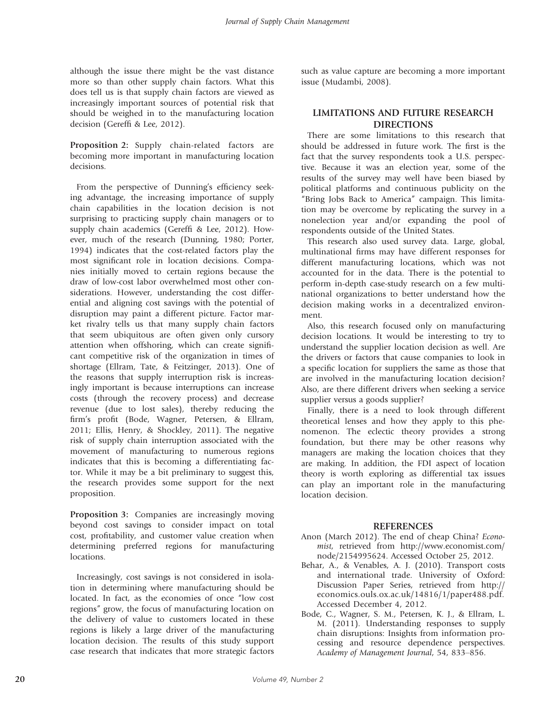although the issue there might be the vast distance more so than other supply chain factors. What this does tell us is that supply chain factors are viewed as increasingly important sources of potential risk that should be weighed in to the manufacturing location decision (Gereffi & Lee, 2012).

Proposition 2: Supply chain-related factors are becoming more important in manufacturing location decisions.

From the perspective of Dunning's efficiency seeking advantage, the increasing importance of supply chain capabilities in the location decision is not surprising to practicing supply chain managers or to supply chain academics (Gereffi & Lee, 2012). However, much of the research (Dunning, 1980; Porter, 1994) indicates that the cost-related factors play the most significant role in location decisions. Companies initially moved to certain regions because the draw of low-cost labor overwhelmed most other considerations. However, understanding the cost differential and aligning cost savings with the potential of disruption may paint a different picture. Factor market rivalry tells us that many supply chain factors that seem ubiquitous are often given only cursory attention when offshoring, which can create significant competitive risk of the organization in times of shortage (Ellram, Tate, & Feitzinger, 2013). One of the reasons that supply interruption risk is increasingly important is because interruptions can increase costs (through the recovery process) and decrease revenue (due to lost sales), thereby reducing the firm's profit (Bode, Wagner, Petersen, & Ellram, 2011; Ellis, Henry, & Shockley, 2011). The negative risk of supply chain interruption associated with the movement of manufacturing to numerous regions indicates that this is becoming a differentiating factor. While it may be a bit preliminary to suggest this, the research provides some support for the next proposition.

Proposition 3: Companies are increasingly moving beyond cost savings to consider impact on total cost, profitability, and customer value creation when determining preferred regions for manufacturing locations.

Increasingly, cost savings is not considered in isolation in determining where manufacturing should be located. In fact, as the economies of once "low cost regions" grow, the focus of manufacturing location on the delivery of value to customers located in these regions is likely a large driver of the manufacturing location decision. The results of this study support case research that indicates that more strategic factors such as value capture are becoming a more important issue (Mudambi, 2008).

## LIMITATIONS AND FUTURE RESEARCH DIRECTIONS

There are some limitations to this research that should be addressed in future work. The first is the fact that the survey respondents took a U.S. perspective. Because it was an election year, some of the results of the survey may well have been biased by political platforms and continuous publicity on the "Bring Jobs Back to America" campaign. This limitation may be overcome by replicating the survey in a nonelection year and/or expanding the pool of respondents outside of the United States.

This research also used survey data. Large, global, multinational firms may have different responses for different manufacturing locations, which was not accounted for in the data. There is the potential to perform in-depth case-study research on a few multinational organizations to better understand how the decision making works in a decentralized environment.

Also, this research focused only on manufacturing decision locations. It would be interesting to try to understand the supplier location decision as well. Are the drivers or factors that cause companies to look in a specific location for suppliers the same as those that are involved in the manufacturing location decision? Also, are there different drivers when seeking a service supplier versus a goods supplier?

Finally, there is a need to look through different theoretical lenses and how they apply to this phenomenon. The eclectic theory provides a strong foundation, but there may be other reasons why managers are making the location choices that they are making. In addition, the FDI aspect of location theory is worth exploring as differential tax issues can play an important role in the manufacturing location decision.

#### **REFERENCES**

- Anon (March 2012). The end of cheap China? Economist, retrieved from http://www.economist.com/ node/2154995624. Accessed October 25, 2012.
- Behar, A., & Venables, A. J. (2010). Transport costs and international trade. University of Oxford: Discussion Paper Series, retrieved from http:// economics.ouls.ox.ac.uk/14816/1/paper488.pdf. Accessed December 4, 2012.
- Bode, C., Wagner, S. M., Petersen, K. J., & Ellram, L. M. (2011). Understanding responses to supply chain disruptions: Insights from information processing and resource dependence perspectives. Academy of Management Journal, 54, 833–856.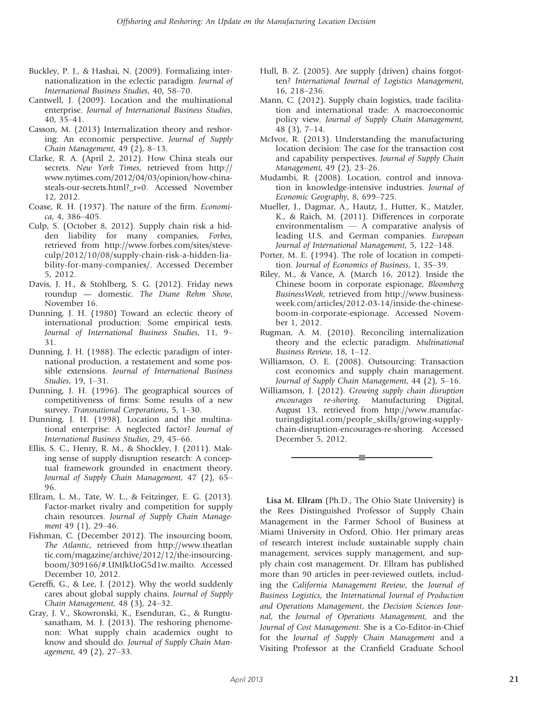- Buckley, P. J., & Hashai, N. (2009). Formalizing internationalization in the eclectic paradigm. Journal of International Business Studies, 40, 58–70.
- Cantwell, J. (2009). Location and the multinational enterprise. Journal of International Business Studies, 40, 35–41.
- Casson, M. (2013) Internalization theory and reshoring: An economic perspective. Journal of Supply Chain Management, 49 (2), 8–13.
- Clarke, R. A. (April 2, 2012). How China steals our secrets. New York Times, retrieved from http:// www.nytimes.com/2012/04/03/opinion/how-chinasteals-our-secrets.html?\_r=0. Accessed November 12, 2012.
- Coase, R. H. (1937). The nature of the firm. Economica, 4, 386–405.
- Culp, S. (October 8, 2012). Supply chain risk a hidden liability for many companies, Forbes, retrieved from http://www.forbes.com/sites/steveculp/2012/10/08/supply-chain-risk-a-hidden-liability-for-many-companies/. Accessed December 5, 2012.
- Davis, J. H., & Stohlberg, S. G. (2012). Friday news roundup — domestic. The Diane Rehm Show, November 16.
- Dunning, J. H. (1980) Toward an eclectic theory of international production: Some empirical tests. Journal of International Business Studies, 11, 9– 31.
- Dunning, J. H. (1988). The eclectic paradigm of international production, a restatement and some possible extensions. Journal of International Business Studies, 19, 1–31.
- Dunning, J. H. (1996). The geographical sources of competitiveness of firms: Some results of a new survey. Transnational Corporations, 5, 1–30.
- Dunning, J. H. (1998). Location and the multinational enterprise: A neglected factor? Journal of International Business Studies, 29, 45–66.
- Ellis, S. C., Henry, R. M., & Shockley, J. (2011). Making sense of supply disruption research: A conceptual framework grounded in enactment theory. Journal of Supply Chain Management, 47 (2), 65– 96.
- Ellram, L. M., Tate, W. L., & Feitzinger, E. G. (2013). Factor-market rivalry and competition for supply chain resources. Journal of Supply Chain Management 49 (1), 29–46.
- Fishman, C. (December 2012). The insourcing boom, The Atlantic, retrieved from http://www.theatlan tic.com/magazine/archive/2012/12/the-insourcingboom/309166/#.UMJkUoG5d1w.mailto. Accessed December 10, 2012.
- Gereffi, G., & Lee, J. (2012). Why the world suddenly cares about global supply chains. Journal of Supply Chain Management, 48 (3), 24–32.
- Gray, J. V., Skowronski, K., Esenduran, G., & Rungtusanatham, M. J. (2013). The reshoring phenomenon: What supply chain academics ought to know and should do. Journal of Supply Chain Management, 49 (2), 27–33.
- Hull, B. Z. (2005). Are supply (driven) chains forgotten? International Journal of Logistics Management, 16, 218–236.
- Mann, C. (2012). Supply chain logistics, trade facilitation and international trade: A macroeconomic policy view. Journal of Supply Chain Management, 48 (3), 7–14.
- McIvor, R. (2013). Understanding the manufacturing location decision: The case for the transaction cost and capability perspectives. Journal of Supply Chain Management, 49 (2), 23–26.
- Mudambi, R. (2008). Location, control and innovation in knowledge-intensive industries. Journal of Economic Geography, 8, 699–725.
- Mueller, J., Dagmar, A., Hautz, J., Hutter, K., Matzler, K., & Raich, M. (2011). Differences in corporate environmentalism — A comparative analysis of leading U.S. and German companies. European Journal of International Management, 5, 122–148.
- Porter, M. E. (1994). The role of location in competition. Journal of Economics of Business, 1, 35–39.
- Riley, M., & Vance, A. (March 16, 2012). Inside the Chinese boom in corporate espionage, Bloomberg BusinessWeek, retrieved from http://www.businessweek.com/articles/2012-03-14/inside-the-chineseboom-in-corporate-espionage. Accessed November 1, 2012.
- Rugman, A. M. (2010). Reconciling internalization theory and the eclectic paradigm. Multinational Business Review, 18, 1–12.
- Williamson, O. E. (2008). Outsourcing: Transaction cost economics and supply chain management. Journal of Supply Chain Management, 44 (2), 5–16.
- Williamson, J. (2012). Growing supply chain disruption encourages re-shoring. Manufacturing Digital, August 13, retrieved from http://www.manufacturingdigital.com/people\_skills/growing-supplychain-disruption-encourages-re-shoring. Accessed December 5, 2012.

Lisa M. Ellram (Ph.D., The Ohio State University) is the Rees Distinguished Professor of Supply Chain Management in the Farmer School of Business at Miami University in Oxford, Ohio. Her primary areas of research interest include sustainable supply chain management, services supply management, and supply chain cost management. Dr. Ellram has published more than 90 articles in peer-reviewed outlets, including the California Management Review, the Journal of Business Logistics, the International Journal of Production and Operations Management, the Decision Sciences Journal, the Journal of Operations Management, and the Journal of Cost Management. She is a Co-Editor-in-Chief for the Journal of Supply Chain Management and a Visiting Professor at the Cranfield Graduate School